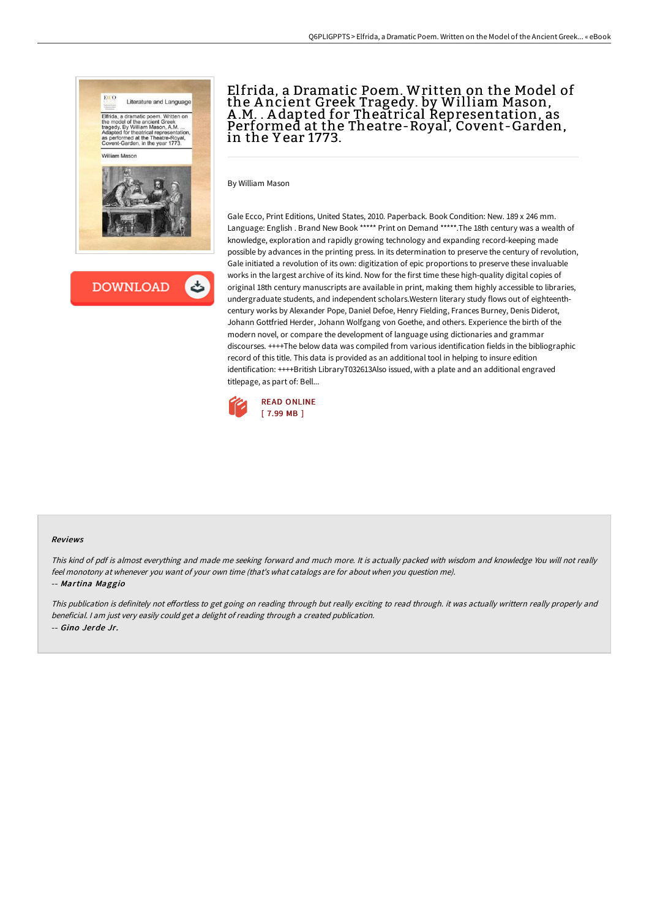



# Elfrida, a Dramatic Poem. Written on the Model of the A ncient Greek Tragedy. by William Mason, A .M. . A dapted for Theatrical Representation, as Performed at the Theatre-Royal, Covent-Garden, in the Y ear 1773.

By William Mason

Gale Ecco, Print Editions, United States, 2010. Paperback. Book Condition: New. 189 x 246 mm. Language: English . Brand New Book \*\*\*\*\* Print on Demand \*\*\*\*\*.The 18th century was a wealth of knowledge, exploration and rapidly growing technology and expanding record-keeping made possible by advances in the printing press. In its determination to preserve the century of revolution, Gale initiated a revolution of its own: digitization of epic proportions to preserve these invaluable works in the largest archive of its kind. Now for the first time these high-quality digital copies of original 18th century manuscripts are available in print, making them highly accessible to libraries, undergraduate students, and independent scholars.Western literary study flows out of eighteenthcentury works by Alexander Pope, Daniel Defoe, Henry Fielding, Frances Burney, Denis Diderot, Johann Gottfried Herder, Johann Wolfgang von Goethe, and others. Experience the birth of the modern novel, or compare the development of language using dictionaries and grammar discourses. ++++The below data was compiled from various identification fields in the bibliographic record of this title. This data is provided as an additional tool in helping to insure edition identification: ++++British LibraryT032613Also issued, with a plate and an additional engraved titlepage, as part of: Bell...



#### Reviews

This kind of pdf is almost everything and made me seeking forward and much more. It is actually packed with wisdom and knowledge You will not really feel monotony at whenever you want of your own time (that's what catalogs are for about when you question me). -- Martina Maggio

This publication is definitely not effortless to get going on reading through but really exciting to read through. it was actually writtern really properly and beneficial. <sup>I</sup> am just very easily could get <sup>a</sup> delight of reading through <sup>a</sup> created publication. -- Gino Jerde Jr.